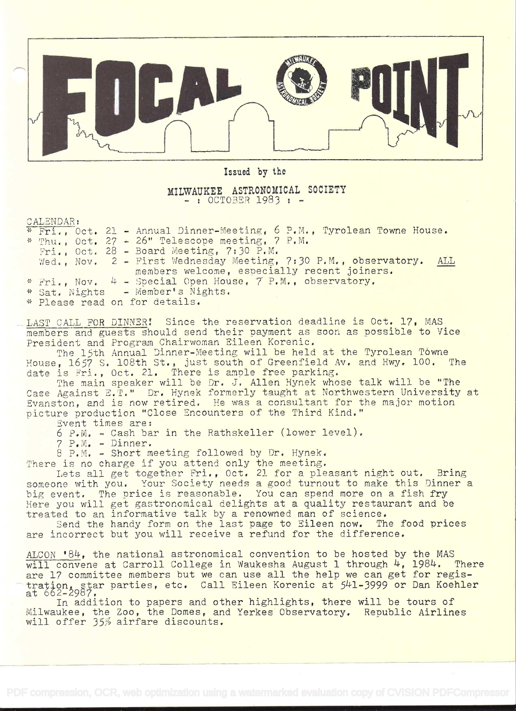

Issued by the

## MILWAUKEE ASTRONOMICAL SOCIETY

CALENDAR:

|  |  | $\frac{1}{N}$ Fri Oct. 21 - Annual Dinner-Meeting, 6 P.M., Tyrolean Towne House. |  |
|--|--|----------------------------------------------------------------------------------|--|
|  |  | * Thu., Oct. 27 - 26" Telescope meeting, 7 P.M.                                  |  |
|  |  | $Fri.$ , Oct. 28 - Board Meeting, 7:30 P.M.                                      |  |
|  |  | Wed., Nov. 2 - First Wednesday Meeting, 7:30 P.M., observatory. ALL              |  |
|  |  | members welcome, especially recent joiners.                                      |  |
|  |  | * Fri Nov. 4 - Special Open House, 7 P.M., observatory.                          |  |
|  |  | * Sat. Nights - Member's Nights.                                                 |  |
|  |  | * Please read on for details.                                                    |  |

LAST CALL FOR DINNER! Since the reservation deadline is Oct. 17. MAS members and guests should send their payment as soon as possible to Vice President and Program Chairwoman Eileen Korenic.

The 15th Annual Dinner-Meeting will be held at the Tyrolean Towne House, 1657 S. 108th St., just south of Greenfield Av. and Hwy. 100, The date is Fri., Oct. 21. There is ample free parking.

The main speaker will be Dr. J. Allen Hynek whose talk will be "The Case Against E.T." Dr. Hynek formerly taught at Northwestern University at Evanston, and is now retired. He was a consultant for the major motion picture production "Close Encounters of the Third Kind." Event times are:

6 P.M. - Cash bar in the Rathskeller (lower level).

<sup>7</sup>P.N. - Dinner.

<sup>B</sup>P.M. - Short meeting followed by Dr. Hynek.

There is no charge if you attend only the meeting.

Lets all get together Fri., Oct. 21 for a pleasant night out. Bring someone with you. Your Society needs a good turnout to make this Dinner a big event. The price is reasonable. You can spend more on a fish fry Here you will get gastronomical delights at a quality restaurant and be treated to an informative talk by a renowned man of science.

Send the handy form on the last page to Eileen now. The food prices are incorrect but you will receive a refund for the difference.

ALCON '84, the national astronomical convention to be hosted by the MAS will convene at Carroll College in Waukesha August 1 through 4, 1984. There are 17 committee members but we can use all the help we can get for registration, star parties, etc. Call Eileen Korenic at 541–3999 or Dan Koehler (at 562–2987).<br>at 662–2987.

In addition to papers and other highlights, there will be tours of Milwaukee, the Zoo, the Domes, and Yerkes Observatory. Republic Airlines will offer 35% airfare discounts.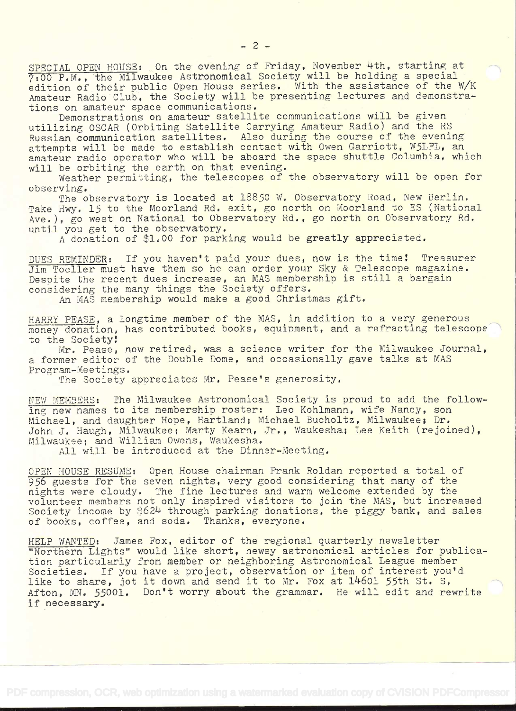SPECIAL OPEN HOUSE: On the evening of Friday, November 4th, starting at 7700 P.M., the Milwaukee Astronomical Society will be holding a special edition of their public Open House series. With the assistance of the W/K Amateur Radio Club, the Society will be presenting lectures and demonstrations on amateur space communications.

Demonstrations on amateur satellite communications will be given utilizing OSCAR (Orbiting Satellite Carrying Amateur Radio) and the RS Russian communication satellites. Also during the course of the evening attempts will be made to establish contact with Owen Garriott, W5LFL, an amateur radio operator who will be aboard the space shuttle Columbia, which will be orbiting the earth on that evening.

Weather permitting, the telescopes of the observatory will be open for observing.

The observatory is located at 18850 W. Observatory Road, New Berlin. Take Hwy. 15 to the Moorland Rd. exit, go north on Moorland to ES (National Ave.), go west on National to Observatory Rd., go north on Observatory Rd. until you get to the observatory.

A donation of \$1.00 for parking would be greatly appreciated.

DUES REMINDER: If you haven't paid your dues, now is the time! Treasurer Jim Toeller must have them so he can order your Sky & Telescope magazine. Despite the recent dues increase, an MAS membership is still a bargain considering the many things the Society offers.

An MAS membership would make a good Christmas gift,

HARRY PEASE, a longtime member of the MAS, in addition to a very generous money donation, has contributed books, equipment, and a refracting telescope to the Society!

Mr. Pease, now retired, was a science writer for the Milwaukee Journal, a former editor of the Double Dome, and occasionally gave talks at MAS Program-Meetings.

The Society appreciates Mr. Pease's generosity.

NEW MEMBERS: The Milwaukee Astronomical Society is proud to add the following new names to its membership roster: Leo Kohlmann, wife Nancy, son Michael, and daughter Hope, Hartland; Michael Bucholtz, Milwaukee; Dr. John J. Haugh, Milwaukee; Marty Kearn, Jr., Waukesha; Lee Keith (rejoined), Milwaukee; and William Owens, Waukesha.

All will be introduced at the Dinner-Meeting.

CPEN HOUSE RESUMB: Open House chairman Frank Roldan reported a total of 956 guests for the seven nights, very good considering that many of the nights were cloudy. The fine lectures and warm welcome extended by the volunteer members not only inspired visitors to join the MAS, but increased Society income by 5624 through parking donations, the piggy bank, and sales of books, coffee, and soda. Thanks, everyone.

HELP WANTED: James Fox, editor of the regional quarterly newsletter "Northern Lights" would like short, newsy astronomical articles for publication particularly from member or neighboring Astronomical League member Societies. If you have a project, observation or item of interest you'd like to share, jot it down and send it to Mr. Fox at  $14601$  55th St. S, Afton, MN. 55001. Don't worry about the grammar. He will edit and rewrite if necessary.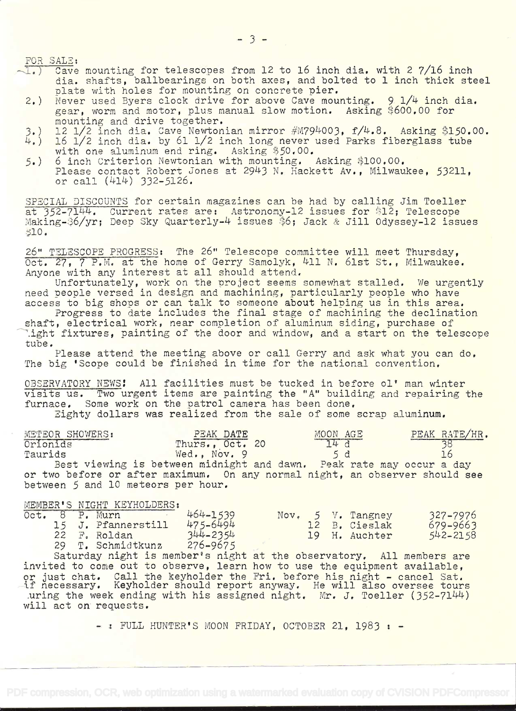FOR SALE:

- $\sqrt{1.}$  Cave mounting for telescopes from 12 to 16 inch dia. with 2 7/16 inch dia. shafts, ballbearings on both axes, and bolted to 1 inch thick steel<br>plate with holes for mounting on concrete pier.
- 2.) Never used Byers clock drive for above Cave mounting. 9 1/4 inch dia. gear, worm and motor, plus manual slow motion. Asking \$600,00 for<br>mounting and drive together.
- 
- 3.) 12 1/2 inch dia. Cave Newtonian mirror  $\#$ M794003, f/4.8. Asking \$150.00.<br>4.) 16 1/2 inch dia. by 61 1/2 inch long never used Parks fiberglass tube 16 1/2 inch dia. by 61 1/2 inch long never used Parks fiberglass tube with one aluminum end ring. Asking \$5O.00.
- 5.) 6 inch Criterion Newtonian with mounting. Asking \$100.00. Please contact Robert Jones at 2943 N. Hackett Av., Milwaukee, 53211, or call (414) 332-5126.

SPECIAL DISCOUNTS for certain magazines can be had by calling Jim Toeller at 352-7144. Current rates are: Astronomy-12 issues for \$12; Telescope :<br>Making-S6/yr; Deep Sky Quarterly-4 issues \$6; Jack & Jill Odyssey-12 issues ;;lO.

26" TELESCOPE PROGRESS: The 26" Telescope committee will meet Thursday,<br>Oct. 27, 7 P.M. at the home of Gerry Samolyk, 4ll N. 61st St., Milwaukee. Anyone with any interest at all should attend.

Unfortunately, work on the project seems somewhat stalled. We urgently need people versed in design and machining, particularly people who have access to big shops or can talk to someone about helping us in this area.

Progress to date includes the final stage of machining the declination<br>shaft, electrical work, near completion of aluminum siding, purchase of<br>light fixtures, painting of the door and window, and a start on the telescope<br>t

Please attend the meeting above or call Gerry and ask what you can do. The big 'Scope could be finished in time for the national convention.

OBSERVATORY NEWS: All facilities must be tucked in before ol' man winter<br>visits us. Two urgent items are painting the "A" building and repairing the<br>furnace. Some work on the patrol camera has been done.

Fighty dollars was realized from the sale of some scrap aluminum.

| METEOR SHOWERS:                    | PEAK DATE                                                                   | MOON AGE | PEAK RATE/HR. |
|------------------------------------|-----------------------------------------------------------------------------|----------|---------------|
| Orionids                           | Thurs., Oct. 20                                                             | 74d      |               |
| Taurids                            | Wed., Nov. 9                                                                | 5d       |               |
|                                    | Best viewing is between midnight and dawn. Peak rate may occur a day        |          |               |
|                                    | or two before or after maximum. On any normal night, an observer should see |          |               |
| between 5 and 10 meteors per hour. |                                                                             |          |               |

## MEMBER'S NIGHT KEYHOLDERS:<br>Oct. 8 P. Murn

|  | Oct. 8 P. Murn     | 464-1539     |  | Nov. 5 V. Tangney | 327-7976     |
|--|--------------------|--------------|--|-------------------|--------------|
|  | 15 J. Pfannerstill | 475-6494     |  | 12 B. Cieslak     | $679 - 9663$ |
|  | 22 F. Roldan       | $344 - 2354$ |  | 19 H. Auchter     | $542 - 2158$ |
|  | 29 T. Schmidtkunz  | $276 - 9675$ |  |                   |              |

Saturday night is member's night at the observatory. All members are<br>invited to come out to observe, learn how to use the equipment available, or just chat. Call the keyholder the Fri. before his night - cancel Sat.<br>If necessary. Keyholder should report anyway. He will also oversee tours uring the week ending with his assigned night. Mr. J. Toeller (352-7144)<br>will act on requests.

 $-$  : FULL HUNTER'S MOON FRIDAY, OCTOBER 21, 1983 :  $-$